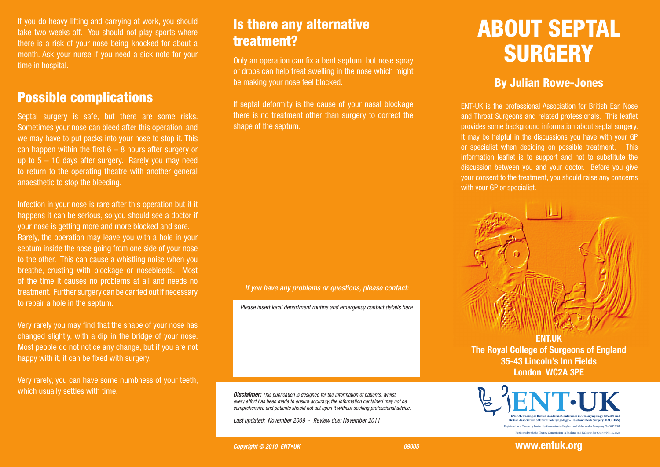If you do heavy lifting and carrying at work, you should take two weeks off. You should not play sports where there is a risk of your nose being knocked for about a month. Ask your nurse if you need a sick note for your time in hospital.

#### Possible complications

Septal surgery is safe, but there are some risks. Sometimes your nose can bleed after this operation, and we may have to put packs into your nose to stop it. This can happen within the first  $6 - 8$  hours after surgery or up to  $5 - 10$  days after surgery. Rarely you may need to return to the operating theatre with another general anaesthetic to stop the bleeding.

Infection in your nose is rare after this operation but if it happens it can be serious, so you should see a doctor if your nose is getting more and more blocked and sore. Rarely, the operation may leave you with a hole in your septum inside the nose going from one side of your nose to the other. This can cause a whistling noise when you breathe, crusting with blockage or nosebleeds. Most of the time it causes no problems at all and needs no treatment. Further surgery can be carried out if necessary to repair a hole in the septum.

Very rarely you may find that the shape of your nose has changed slightly, with a dip in the bridge of your nose. Most people do not notice any change, but if you are not happy with it, it can be fixed with surgery.

Very rarely, you can have some numbness of your teeth, which usually settles with time.

# Is there any alternative treatment?

Only an operation can fix a bent septum, but nose spray or drops can help treat swelling in the nose which might be making your nose feel blocked.

If septal deformity is the cause of your nasal blockage there is no treatment other than surgery to correct the shape of the septum.

#### *If you have any problems or questions, please contact:*

*Please insert local department routine and emergency contact details here*

*Disclaimer: This publication is designed for the information of patients. Whilst every effort has been made to ensure accuracy, the information contained may not be comprehensive and patients should not act upon it without seeking professional advice.*

*Last updated: November 2009 - Review due: November 2011* 

# ABOUT SEPTAL **SURGERY**

#### By Julian Rowe-Jones

ENT-UK is the professional Association for British Ear, Nose and Throat Surgeons and related professionals. This leaflet provides some background information about septal surgery. It may be helpful in the discussions you have with your GP or specialist when deciding on possible treatment. This information leaflet is to support and not to substitute the discussion between you and your doctor. Before you give your consent to the treatment, you should raise any concerns with your GP or specialist.



**The Royal College of Surgeons of England 35-43 Lincoln's Inn Fields London WC2A 3PE**



**Copyright © 2010 ENT•UK DESIGNATION DESIGNATION 09005** 

**www.entuk.org**